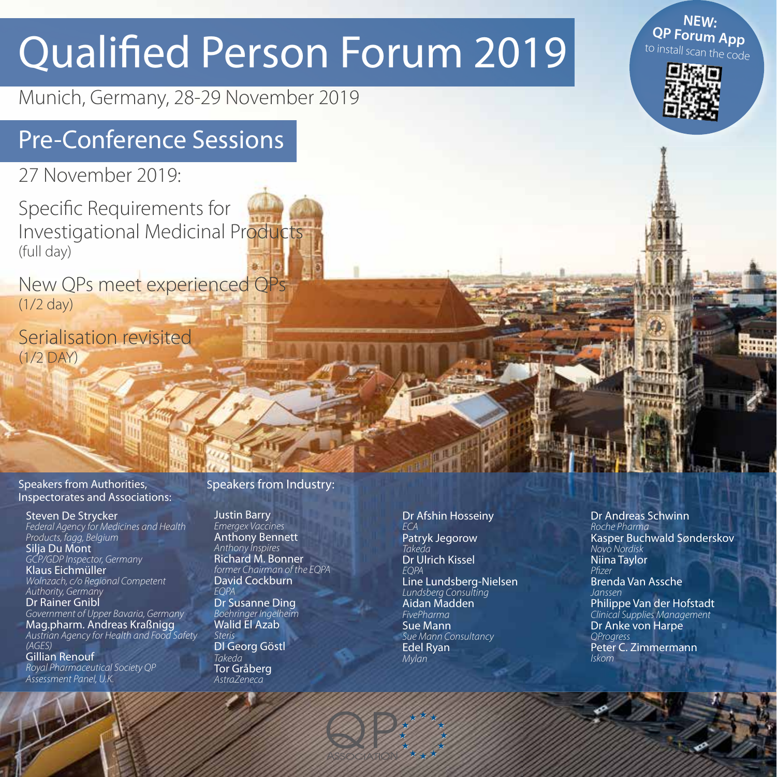# Qualified Person Forum 2019

Munich, Germany, 28-29 November 2019

# Pre-Conference Sessions

27 November 2019:

Specific Requirements for Investigational Medicinal Products (full day)

New OPs meet experienced OP (1/2 day)

Serialisation revisited (1/2 DAY)

Speakers from Authorities, Inspectorates and Associations:

Steven De Strycker *Federal Agency for Medicines and Health Products, fagg, Belgium* Silja Du Mont *GCP/GDP Inspector, Germany* Klaus Eichmüller *Wolnzach, c/o Regional Competent Authority, Germany* Dr Rainer Gnibl *Government of Upper Bavaria, Germany* Mag.pharm. Andreas Kraßnigg *Austrian Agency for Health and Food Safety (AGES)* Gillian Renouf

*Royal Pharmaceutical Society QP Assessment Panel, U.K.*

#### Speakers from Industry:

Justin Barry *Emergex Vaccines* Anthony Bennett *Anthony Inspires* Richard M. Bonner *former Chairman of the EQPA*  David Cockburn *EQPA* Dr Susanne Ding

*Boehringer Ingelheim* Walid El Azab *Steris* DI Georg Göstl

*Takeda* Tor Gråberg *AstraZeneca*

**QP** 

Dr Afshin Hosseiny *ECA* Patryk Jegorow *Takeda* Dr Ulrich Kissel *EQPA*  Line Lundsberg-Nielsen *Lundsberg Consulting*  Aidan Madden *FivePharma* Sue Mann *Sue Mann Consultancy* Edel Ryan *Mylan*

Dr Andreas Schwinn *Roche Pharma* Kasper Buchwald Sønderskov *Novo Nordisk* Niina Taylor Pfizer Brenda Van Assche *Janssen*  Philippe Van der Hofstadt *Clinical Supplies Management* Dr Anke von Harpe *QProgress* Peter C. Zimmermann *Iskom*



**NEW: QP Forum App**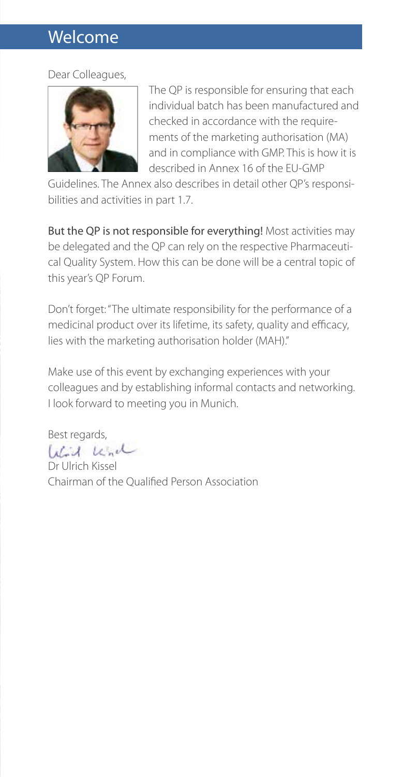### Welcome

#### Dear Colleagues,



The QP is responsible for ensuring that each individual batch has been manufactured and checked in accordance with the requirements of the marketing authorisation (MA) and in compliance with GMP. This is how it is described in Annex 16 of the EU-GMP

Guidelines. The Annex also describes in detail other QP's responsibilities and activities in part 1.7.

But the QP is not responsible for everything! Most activities may be delegated and the QP can rely on the respective Pharmaceutical Quality System. How this can be done will be a central topic of this year's QP Forum.

Don't forget: "The ultimate responsibility for the performance of a medicinal product over its lifetime, its safety, quality and efficacy, lies with the marketing authorisation holder (MAH)."

Make use of this event by exchanging experiences with your colleagues and by establishing informal contacts and networking. I look forward to meeting you in Munich.

Best regards,

Wird und

Dr Ulrich Kissel Chairman of the Qualified Person Association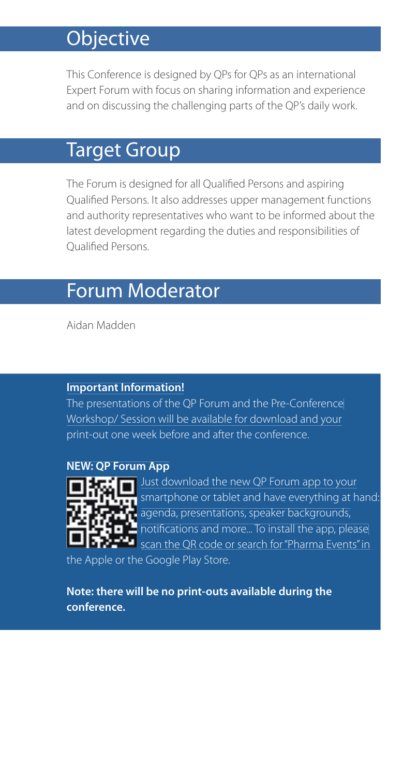# **Objective**

This Conference is designed by QPs for QPs as an international Expert Forum with focus on sharing information and experience and on discussing the challenging parts of the QP's daily work.

# Target Group

The Forum is designed for all Qualified Persons and aspiring Qualified Persons. It also addresses upper management functions and authority representatives who want to be informed about the latest development regarding the duties and responsibilities of Qualified Persons.

# Forum Moderator

Aidan Madden

#### **Important Information!**

The presentations of the QP Forum and the Pre-Conference Workshop/ Session will be available for download and your print-out one week before and after the conference.

#### **NEW: QP Forum App**



Just download the new QP Forum app to your smartphone or tablet and have everything at hand: agenda, presentations, speaker backgrounds, hotifications and more... To install the app, please scan the QR code or search for "Pharma Events" in the Apple or the Google Play Store.

**Note: there will be no print-outs available during the conference.**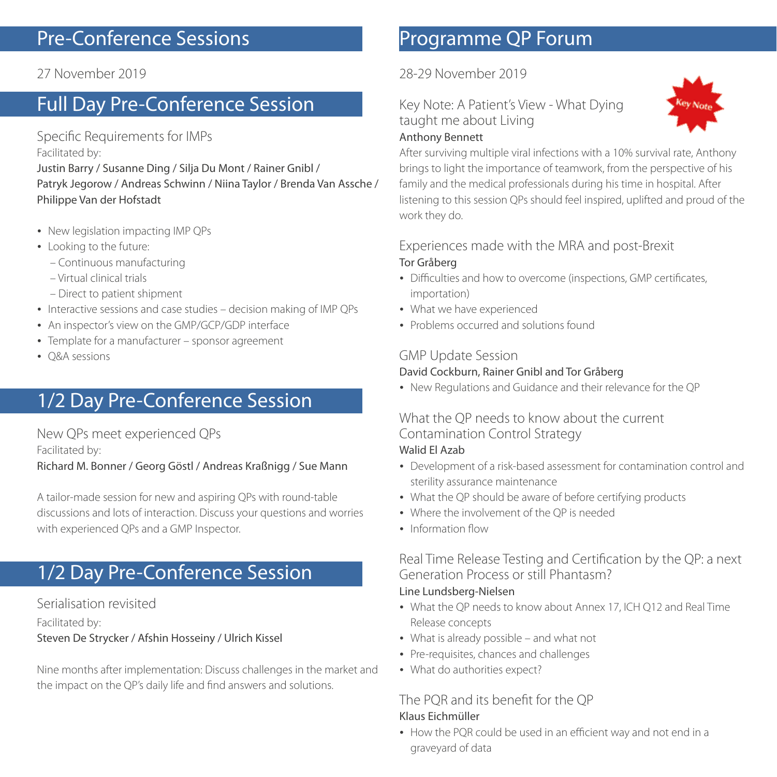# Pre-Conference Sessions

#### 27 November 2019

# Full Day Pre-Conference Session

Specific Requirements for IMPs Facilitated by:

Justin Barry / Susanne Ding / Silja Du Mont / Rainer Gnibl / Patryk Jegorow / Andreas Schwinn / Niina Taylor / Brenda Van Assche / Philippe Van der Hofstadt

- New legislation impacting IMP QPs
- Looking to the future:
	- Continuous manufacturing
	- Virtual clinical trials
	- Direct to patient shipment
- Interactive sessions and case studies decision making of IMP QPs
- An inspector's view on the GMP/GCP/GDP interface
- Template for a manufacturer sponsor agreement
- O&A sessions

# 1/2 Day Pre-Conference Session

New QPs meet experienced QPs Facilitated by:

Richard M. Bonner / Georg Göstl / Andreas Kraßnigg / Sue Mann

A tailor-made session for new and aspiring QPs with round-table discussions and lots of interaction. Discuss your questions and worries with experienced QPs and a GMP Inspector.

# 1/2 Day Pre-Conference Session

#### Serialisation revisited

Facilitated by:

#### Steven De Strycker / Afshin Hosseiny / Ulrich Kissel

Nine months after implementation: Discuss challenges in the market and the impact on the OP's daily life and find answers and solutions.

# Programme QP Forum

28-29 November 2019

Key Note: A Patient's View - What Dying taught me about Living



#### Anthony Bennett

After surviving multiple viral infections with a 10% survival rate, Anthony brings to light the importance of teamwork, from the perspective of his family and the medical professionals during his time in hospital. After listening to this session QPs should feel inspired, uplifted and proud of the work they do.

#### Experiences made with the MRA and post-Brexit Tor Gråberg

- Difficulties and how to overcome (inspections, GMP certificates, importation)
- What we have experienced
- Problems occurred and solutions found

#### GMP Update Session

#### David Cockburn, Rainer Gnibl and Tor Gråberg

New Regulations and Guidance and their relevance for the QP

## What the OP needs to know about the current Contamination Control Strategy

#### Walid El Azab

- Development of a risk-based assessment for contamination control and sterility assurance maintenance
- What the QP should be aware of before certifying products
- Where the involvement of the QP is needed
- Information flow

Real Time Release Testing and Certification by the QP: a next Generation Process or still Phantasm? Line Lundsberg-Nielsen

- What the QP needs to know about Annex 17, ICH Q12 and Real Time Release concepts
- What is already possible and what not
- Pre-requisites, chances and challenges
- What do authorities expect?

#### The POR and its benefit for the OP Klaus Eichmüller

• How the POR could be used in an efficient way and not end in a graveyard of data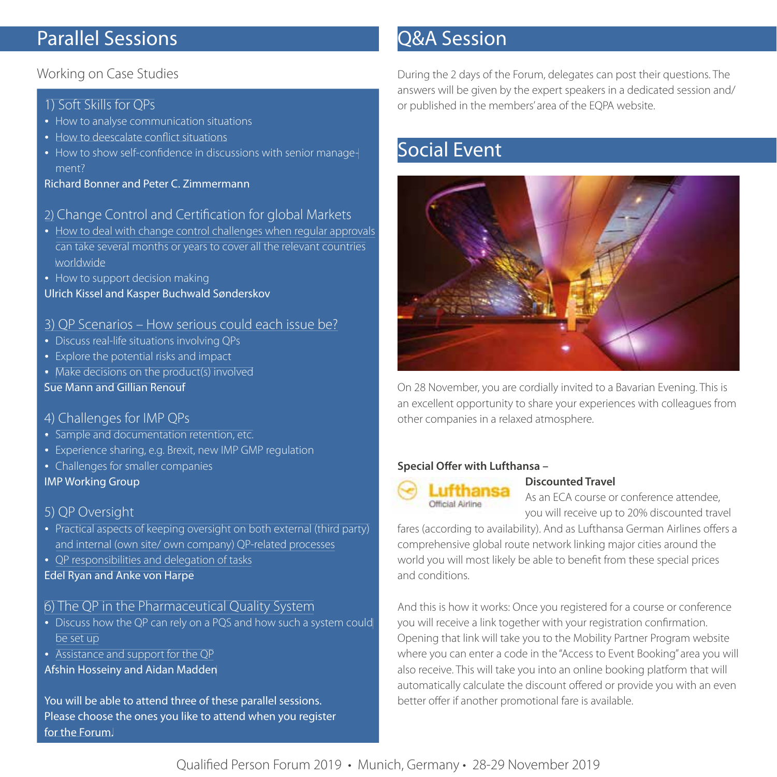# Parallel Sessions

#### Working on Case Studies

#### 1) Soft Skills for QPs

- How to analyse communication situations
- How to deescalate conflict situations
- How to show self-confidence in discussions with senior management?

Richard Bonner and Peter C. Zimmermann

#### 2) Change Control and Certification for global Markets

- How to deal with change control challenges when regular approvals can take several months or years to cover all the relevant countries worldwide
- How to support decision making Ulrich Kissel and Kasper Buchwald Sønderskov
- 3) QP Scenarios How serious could each issue be?
- Discuss real-life situations involving QPs
- Explore the potential risks and impact
- Make decisions on the product(s) involved
- Sue Mann and Gillian Renouf

#### 4) Challenges for IMP QPs

- Sample and documentation retention, etc.
- Experience sharing, e.g. Brexit, new IMP GMP regulation
- Challenges for smaller companies
- IMP Working Group

#### 5) QP Oversight

- Practical aspects of keeping oversight on both external (third party) and internal (own site/ own company) QP-related processes
- QP responsibilities and delegation of tasks

Edel Ryan and Anke von Harpe

#### 6) The QP in the Pharmaceutical Quality System

- Discuss how the QP can rely on a PQS and how such a system could be set up
- Assistance and support for the QP Afshin Hosseiny and Aidan Madden

You will be able to attend three of these parallel sessions. Please choose the ones you like to attend when you register for the Forum.

# Q&A Session

During the 2 days of the Forum, delegates can post their questions. The answers will be given by the expert speakers in a dedicated session and/ or published in the members' area of the EQPA website.

# Social Event



On 28 November, you are cordially invited to a Bavarian Evening. This is an excellent opportunity to share your experiences with colleagues from other companies in a relaxed atmosphere.

#### **Special Offer with Lufthansa -**



#### **Discounted Travel**

As an ECA course or conference attendee, you will receive up to 20% discounted travel

fares (according to availability). And as Lufthansa German Airlines offers a comprehensive global route network linking major cities around the world you will most likely be able to benefit from these special prices and conditions.

And this is how it works: Once you registered for a course or conference you will receive a link together with your registration confirmation. Opening that link will take you to the Mobility Partner Program website where you can enter a code in the "Access to Event Booking" area you will also receive. This will take you into an online booking platform that will automatically calculate the discount offered or provide you with an even better offer if another promotional fare is available.

#### Qualified Person Forum 2019 • Munich, Germany • 28-29 November 2019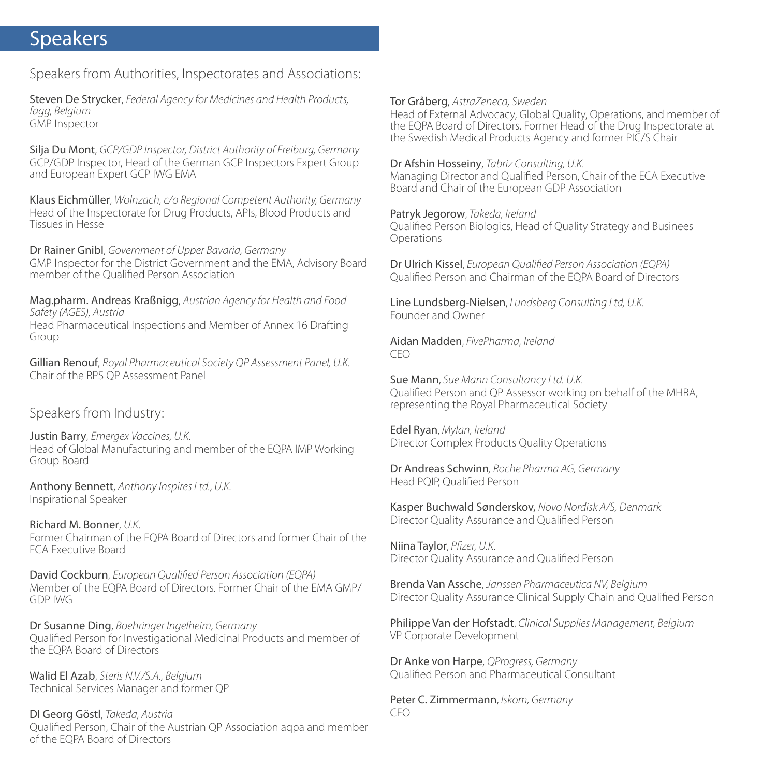### Speakers

Speakers from Authorities, Inspectorates and Associations:

Steven De Strycker, *Federal Agency for Medicines and Health Products, fagg, Belgium* GMP Inspector

Silja Du Mont, *GCP/GDP Inspector, District Authority of Freiburg, Germany* GCP/GDP Inspector, Head of the German GCP Inspectors Expert Group and European Expert GCP IWG EMA

Klaus Eichmüller, *Wolnzach, c/o Regional Competent Authority, Germany* Head of the Inspectorate for Drug Products, APIs, Blood Products and Tissues in Hesse

Dr Rainer Gnibl, *Government of Upper Bavaria, Germany* GMP Inspector for the District Government and the EMA, Advisory Board member of the Qualified Person Association

Mag.pharm. Andreas Kraßnigg, *Austrian Agency for Health and Food Safety (AGES), Austria* Head Pharmaceutical Inspections and Member of Annex 16 Drafting Group

Gillian Renouf, *Royal Pharmaceutical Society QP Assessment Panel, U.K.* Chair of the RPS QP Assessment Panel

Speakers from Industry:

Justin Barry, *Emergex Vaccines, U.K.* Head of Global Manufacturing and member of the EQPA IMP Working Group Board

Anthony Bennett, *Anthony Inspires Ltd., U.K.* Inspirational Speaker

Richard M. Bonner, *U.K.* Former Chairman of the EQPA Board of Directors and former Chair of the ECA Executive Board

David Cockburn, *European Qualified Person Association (EQPA)* Member of the EQPA Board of Directors. Former Chair of the EMA GMP/ GDP IWG

Dr Susanne Ding, *Boehringer Ingelheim, Germany* Qualified Person for Investigational Medicinal Products and member of the EQPA Board of Directors

Walid El Azab, *Steris N.V./S.A., Belgium* Technical Services Manager and former QP

DI Georg Göstl, *Takeda, Austria* Oualified Person, Chair of the Austrian QP Association aqpa and member of the EQPA Board of Directors

Tor Gråberg, *AstraZeneca, Sweden*

Head of External Advocacy, Global Quality, Operations, and member of the EQPA Board of Directors. Former Head of the Drug Inspectorate at the Swedish Medical Products Agency and former PIC/S Chair

Dr Afshin Hosseiny, *Tabriz Consulting, U.K.* Managing Director and Qualified Person, Chair of the ECA Executive Board and Chair of the European GDP Association

Patryk Jegorow, *Takeda, Ireland* Qualified Person Biologics, Head of Quality Strategy and Businees Operations

Dr Ulrich Kissel, *European Qualified Person Association (EQPA)* Qualified Person and Chairman of the FOPA Board of Directors

Line Lundsberg-Nielsen, *Lundsberg Consulting Ltd, U.K.* Founder and Owner

Aidan Madden, *FivePharma, Ireland* CEO

Sue Mann, *Sue Mann Consultancy Ltd. U.K.* Qualified Person and QP Assessor working on behalf of the MHRA, representing the Royal Pharmaceutical Society

Edel Ryan, *Mylan, Ireland* Director Complex Products Quality Operations

Dr Andreas Schwinn*, Roche Pharma AG, Germany* Head POIP, Qualified Person

Kasper Buchwald Sønderskov, *Novo Nordisk A/S, Denmark* Director Quality Assurance and Qualified Person

Niina Taylor, *Pfizer*, U.K. Director Quality Assurance and Qualified Person

Brenda Van Assche, *Janssen Pharmaceutica NV, Belgium* Director Quality Assurance Clinical Supply Chain and Qualified Person

Philippe Van der Hofstadt, *Clinical Supplies Management, Belgium* VP Corporate Development

Dr Anke von Harpe, *QProgress, Germany* Qualified Person and Pharmaceutical Consultant

Peter C. Zimmermann, *Iskom, Germany* CEO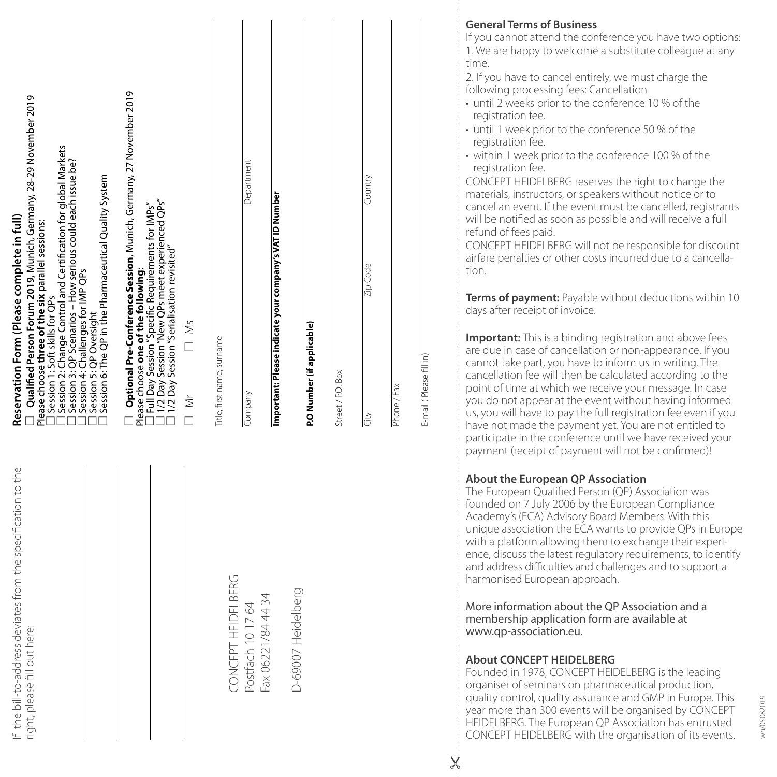| Qualified Person Forum 2019, Munich, Germany, 28-29 November 2019<br>Session 2: Change Control and Certification for global Markets<br>Session 3: QP Scenarios - How serious could each issue be?<br>Session 6: The QP in the Pharmaceutical Quality System<br>Reservation Form (Please complete in full)<br>Please choose three of the six parallel sessions:<br>Session 4: Challenges for IMP QPs<br>Session 1: Soft skills for QPs<br>Session 5: QP Oversight | Optional Pre-Conference Session, Munich, Germany, 27 November 2019<br>1/2 Day Session "New QPs meet experienced QPs"<br>1/2 Day Session "Serialisation revisited"<br>Full Day Session "Specific Requirements for IMPs"<br>Please choose one of the following:<br>$\Box$ Ms<br>$\geq$ | Title, first name, surname | Department<br>Company                   | Important: Please indicate your company's VAT ID Number | P.O Number (if applicable) | Street / P.O. Box | Country<br>Zip Code<br>lity | Phone / Fax | E-mail (Please fill in) |
|------------------------------------------------------------------------------------------------------------------------------------------------------------------------------------------------------------------------------------------------------------------------------------------------------------------------------------------------------------------------------------------------------------------------------------------------------------------|--------------------------------------------------------------------------------------------------------------------------------------------------------------------------------------------------------------------------------------------------------------------------------------|----------------------------|-----------------------------------------|---------------------------------------------------------|----------------------------|-------------------|-----------------------------|-------------|-------------------------|
| f the bill-to-address deviates from the specification to the<br>right, please fill out here:                                                                                                                                                                                                                                                                                                                                                                     |                                                                                                                                                                                                                                                                                      | CONCEPT HEIDELBERG         | Postfach 10 17 64<br>Fax 06221/84 44 34 |                                                         | D-69007 Heidelberg         |                   |                             |             |                         |

#### **General Terms of Business**

If you cannot attend the conference you have two options: 1. We are happy to welcome a substitute colleague at any time.

2. If you have to cancel entirely, we must charge the following processing fees: Cancellation

- until 2 weeks prior to the conference 10 % of the registration fee.
- until 1 week prior to the conference 50 % of the registration fee.
- within 1 week prior to the conference 100 % of the registration fee.

CONCEPT HEIDELBERG reserves the right to change the materials, instructors, or speakers without notice or to cancel an event. If the event must be cancelled, registrants will be notified as soon as possible and will receive a full refund of fees paid.

CONCEPT HEIDELBERG will not be responsible for discount airfare penalties or other costs incurred due to a cancella tion.

**Terms of payment:** Payable without deductions within 10 days after receipt of invoice.

**Important:** This is a binding registration and above fees are due in case of cancellation or non-appearance. If you cannot take part, you have to inform us in writing. The cancellation fee will then be calculated according to the point of time at which we receive your message. In case you do not appear at the event without having informed us, you will have to pay the full registration fee even if you have not made the payment yet. You are not entitled to participate in the conference until we have received your payment (receipt of payment will not be confirmed)!

#### **About the European QP Association**

The European Qualified Person (QP) Association was founded on 7 July 2006 by the European Compliance Academy's (ECA) Advisory Board Members. With this unique association the ECA wants to provide QPs in Europe with a platform allowing them to exchange their experi ence, discuss the latest regulatory requirements, to identify and address difficulties and challenges and to support a harmonised European approach.

More information about the QP Association and a membership application form are available at www.qp-association.eu.

#### **About CONCEPT HEIDELBERG**

Founded in 1978, CONCEPT HEIDELBERG is the leading organiser of seminars on pharmaceutical production, quality control, quality assurance and GMP in Europe. This year more than 300 events will be organised by CONCEPT HEIDELBERG. The European QP Association has entrusted CONCEPT HEIDELBERG with the organisation of its events.